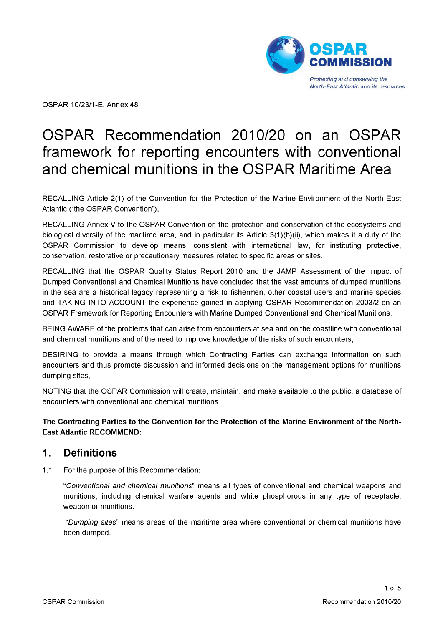

OSPAR 10/23/1-E, Annex 48

# OSPAR Recommendation 2010/20 on an OSPAR framework for reporting encounters with conventional and chemical munitions in the OSPAR Maritime Area

RECALLING Article 2(1) of the Convention for the Protection of the Marine Environment of the North East Atlantic ("the OSPAR Convention"),

RECALLING Annex V to the OSPAR Convention on the protection and conservation of the ecosystems and biological diversity of the maritime area, and in particular its Article 3(1)(b)(ii), which makes it a duty of the OSPAR Commission to develop means, consistent with international law, for instituting protective, conservation, restorative or precautionary measures related to specific areas or sites,

RECALLING that the OSPAR Quality Status Report 2010 and the JAMP Assessment of the Impact of Dumped Conventional and Chemical Munitions have concluded that the vast amounts of dumped munitions in the sea are a historical legacy representing a risk to fishermen, other coastal users and marine species and TAKING INTO ACCOUNT the experience gained in applying OSPAR Recommendation 2003/2 on an OSPAR Framework for Reporting Encounters with Marine Dumped Conventional and Chemical Munitions,

BEING AWARE of the problems that can arise from encounters at sea and on the coastline with conventional and chemical munitions and of the need to improve knowledge of the risks of such encounters,

DESIRING to provide a means through which Contracting Parties can exchange information on such encounters and thus promote discussion and informed decisions on the management options for munitions dumping sites,

NOTING that the OSPAR Commission will create, maintain, and make available to the public, a database of encounters with conventional and chemical munitions.

**The Contracting Parties to the Convention for the Protection of the Marine Environment of the North-East Atlantic RECOMMEND:**

#### **1. Definitions**

1.1 For the purpose of this Recommendation:

*"Conventional and chemical munitions"* means all types of conventional and chemical weapons and munitions, including chemical warfare agents and white phosphorous in any type of receptacle, weapon or munitions.

*"Dumping sites"* means areas of the maritime area where conventional or chemical munitions have been dumped.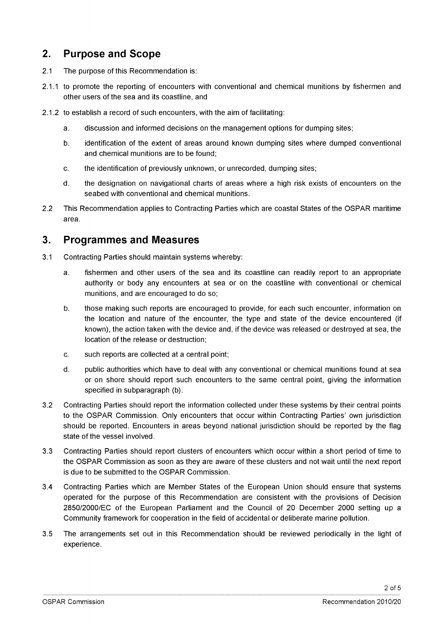## **2. Purpose and Scope**

- 2.1 The purpose of this Recommendation is:
- 2.1.1 to promote the reporting of encounters with conventional and chemical munitions by fishermen and other users of the sea and its coastline, and
- 2.1.2 to establish a record of such encounters, with the aim of facilitating:
	- a. discussion and informed decisions on the management options for dumping sites;
	- b. identification of the extent of areas around known dumping sites where dumped conventional and chemical munitions are to be found;
	- c. the identification of previously unknown, or unrecorded, dumping sites;
	- d. the designation on navigational charts of areas where a high risk exists of encounters on the seabed with conventional and chemical munitions.
- 2.2 This Recommendation applies to Contracting Parties which are coastal States of the OSPAR maritime area.

#### **3. Programmes and Measures**

- 3.1 Contracting Parties should maintain systems whereby:
	- a. fishermen and other users of the sea and its coastline can readily report to an appropriate authority or body any encounters at sea or on the coastline with conventional or chemical munitions, and are encouraged to do so;
	- b. those making such reports are encouraged to provide, for each such encounter, information on the location and nature of the encounter, the type and state of the device encountered (if known), the action taken with the device and, if the device was released or destroyed at sea, the location of the release or destruction;
	- c. such reports are collected at a central point;
	- d. public authorities which have to deal with any conventional or chemical munitions found at sea or on shore should report such encounters to the same central point, giving the information specified in subparagraph (b).
- 3.2 Contracting Parties should report the information collected under these systems by their central points to the OSPAR Commission. Only encounters that occur within Contracting Parties' own jurisdiction should be reported. Encounters in areas beyond national jurisdiction should be reported by the flag state of the vessel involved.
- 3.3 Contracting Parties should report clusters of encounters which occur within a short period of time to the OSPAR Commission as soon as they are aware of these clusters and not wait until the next report is due to be submitted to the OSPAR Commission.
- 3.4 Contracting Parties which are Member States of the European Union should ensure that systems operated for the purpose of this Recommendation are consistent with the provisions of Decision 2850/2000/EC of the European Parliament and the Council of 20 December 2000 setting up a Community framework for cooperation in the field of accidental or deliberate marine pollution.
- 3.5 The arrangements set out in this Recommendation should be reviewed periodically in the light of experience.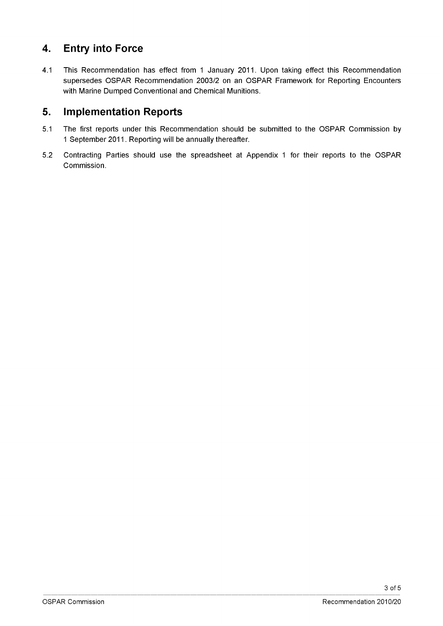# **4. Entry into Force**

4.1 This Recommendation has effect from 1 January 2011. Upon taking effect this Recommendation supersedes OSPAR Recommendation 2003/2 on an OSPAR Framework for Reporting Encounters with Marine Dumped Conventional and Chemical Munitions.

## **5. Implementation Reports**

- 5.1 The first reports under this Recommendation should be submitted to the OSPAR Commission by 1 September 2011. Reporting will be annually thereafter.
- 5.2 Contracting Parties should use the spreadsheet at Appendix 1 for their reports to the OSPAR Commission.

3 of 5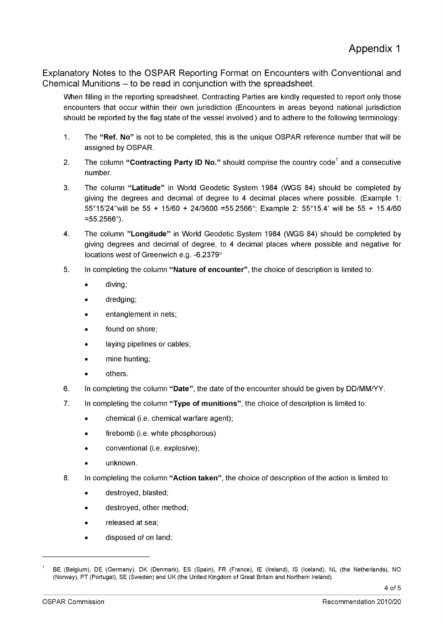Explanatory Notes to the OSPAR Reporting Format on Encounters with Conventional and Chemical Munitions – to be read in conjunction with the spreadsheet.

When filling in the reporting spreadsheet, Contracting Parties are kindly requested to report only those encounters that occur within their own jurisdiction (Encounters in areas beyond national jurisdiction should be reported by the flag state of the vessel involved ) and to adhere to the following terminology:

- 1. The **"Ref. No"** is not to be completed, this is the unique OSPAR reference number that will be assigned by OSPAR.
- 2. The column "Contracting Party ID No." should comprise the country code<sup>1</sup> and a consecutive number.
- 3. The column **"Latitude"** in World Geodetic System 1984 (WGS 84) should be completed by giving the degrees and decimal of degree to 4 decimal places where possible. (Example 1 : 55°15'24"will be 55 + 15/60 + 24/3600 =55.2566°; Example 2: 55°15.4' will be 55 + 15.4/60  $=55.2566^{\circ}$ ).
- 4. The column **''Longitude"** in World Geodetic System 1984 (WGS 84) should be completed by giving degrees and decimal of degree, to 4 decimal places where possible and negative for locations west of Greenwich e.g. -6.2379°
- 5. In completing the column **"Nature of encounter",** the choice of description is limited to:
	- diving;
	- dredging;
	- entanglement in nets;
	- found on shore;
	- laying pipelines or cables;
	- mine hunting;
	- others.
- 6. In completing the column **"Date",** the date of the encounter should be given by DD/MM/YY.
- **7.** In completing the column **"Type of munitions",** the choice of description is limited to:
	- chemical (i.e. chemical warfare agent);
	- firebomb (i.e. white phosphorous)
	- conventional (i.e. explosive);
	- unknown.
- 8. In completing the column **"Action taken",** the choice of description of the action is limited to:
	- destroyed, blasted;
	- destroyed, other method;
	- released at sea;
	- disposed of on land;

<sup>1</sup> BE (Belgium), DE (Germany), DK (Denmark), ES (Spain), FR (France), IE (Ireland), IS (Iceland), NL (the Netherlands), NO (Norway), PT (Portugal), SE (Sweden) and UK (the United Kingdom of Great Britain and Northern Ireland).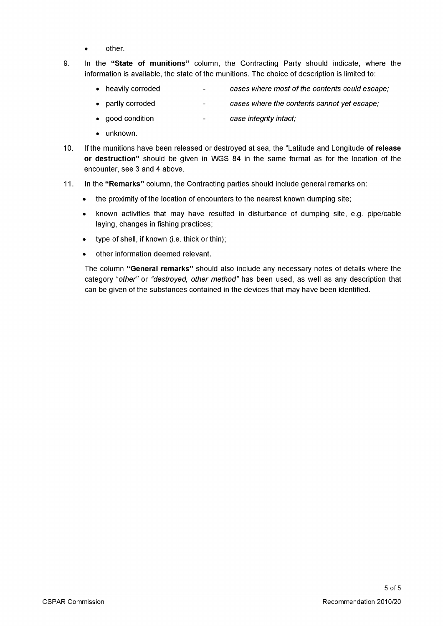- other.
- 9. In the **"State of munitions"** column, the Contracting Party should indicate, where the information is available, the state of the munitions. The choice of description is limited to:
	- heavily corroded *cases where most of the contents could escape;*  $\mathbf{r}$
	- partly corroded  $\mathbf{r}$ *cases where the contents cannot yet escape;*
	- good condition *case integrity intact;*  $\mathbf{u}$
	- unknown.
- 10. If the munitions have been released or destroyed at sea, the "Latitude and Longitude **of release or destruction"** should be given in WGS 84 in the same format as for the location of the encounter, see 3 and 4 above.
- 11. In the **"Remarks"** column, the Contracting parties should include general remarks on:
	- the proximity of the location of encounters to the nearest known dumping site;
	- known activities that may have resulted in disturbance of dumping site, e.g. pipe/cable laying, changes in fishing practices;
	- type of shell, if known (i.e. thick or thin);
	- other information deemed relevant.

The column **"General remarks"** should also include any necessary notes of details where the category *"other"* or *"destroyed, other method"* has been used, as well as any description that can be given of the substances contained in the devices that may have been identified.

5 of 5